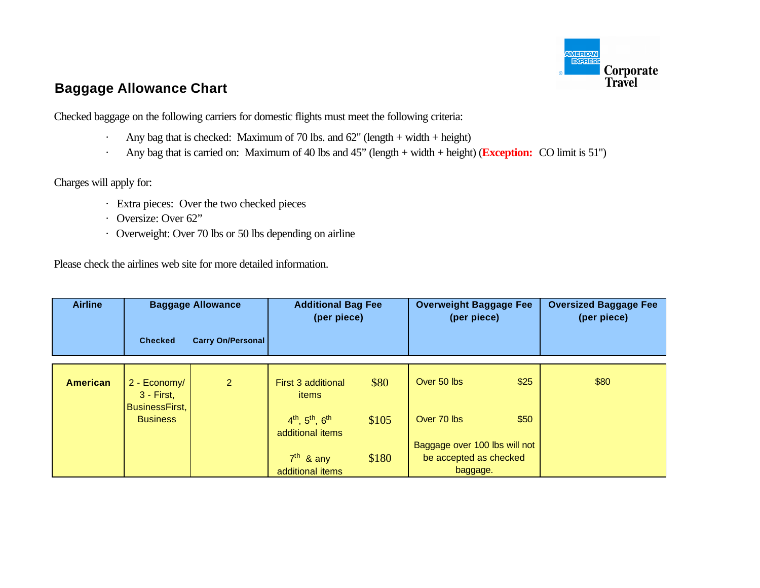

# **Baggage Allowance Chart**

Checked baggage on the following carriers for domestic flights must meet the following criteria:

- · Any bag that is checked: Maximum of 70 lbs. and  $62$ " (length + width + height)
- · Any bag that is carried on: Maximum of 40 lbs and 45" (length + width + height) (**Exception:** CO limit is 51")

Charges will apply for:

- · Extra pieces: Over the two checked pieces
- · Oversize: Over 62"
- · Overweight: Over 70 lbs or 50 lbs depending on airline

Please check the airlines web site for more detailed information.

| <b>Airline</b>  | <b>Baggage Allowance</b>                        |                          | <b>Additional Bag Fee</b><br>(per piece)           |       | <b>Overweight Baggage Fee</b><br>(per piece) |      | <b>Oversized Baggage Fee</b><br>(per piece) |
|-----------------|-------------------------------------------------|--------------------------|----------------------------------------------------|-------|----------------------------------------------|------|---------------------------------------------|
|                 | <b>Checked</b>                                  | <b>Carry On/Personal</b> |                                                    |       |                                              |      |                                             |
|                 |                                                 |                          |                                                    |       |                                              |      |                                             |
| <b>American</b> | 2 - Economy/<br>$3 - First$ ,<br>BusinessFirst, | 2                        | First 3 additional<br>items                        | \$80  | Over 50 lbs                                  | \$25 | \$80                                        |
|                 | <b>Business</b>                                 |                          | $4^{th}$ , $5^{th}$ , $6^{th}$<br>additional items | \$105 | Over 70 lbs                                  | \$50 |                                             |
|                 |                                                 |                          |                                                    |       | Baggage over 100 lbs will not                |      |                                             |
|                 |                                                 |                          | $7th$ & any                                        | \$180 | be accepted as checked                       |      |                                             |
|                 |                                                 |                          | additional items                                   |       | baggage.                                     |      |                                             |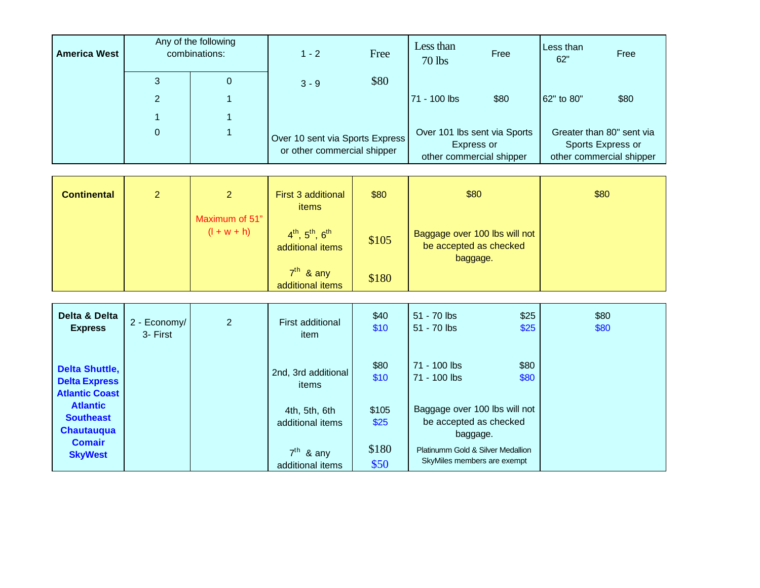| <b>America West</b> |                | Any of the following<br>combinations: |                                                                | Free | Less than<br>$70$ lbs                                                  | Free | Less than<br>62" | Free                                                                       |
|---------------------|----------------|---------------------------------------|----------------------------------------------------------------|------|------------------------------------------------------------------------|------|------------------|----------------------------------------------------------------------------|
|                     | 3              | 0                                     | $3 - 9$                                                        | \$80 |                                                                        |      |                  |                                                                            |
|                     | $\overline{2}$ |                                       |                                                                |      | 71 - 100 lbs                                                           | \$80 | 62" to 80"       | \$80                                                                       |
|                     |                |                                       |                                                                |      |                                                                        |      |                  |                                                                            |
|                     | $\mathbf{0}$   |                                       | Over 10 sent via Sports Express<br>or other commercial shipper |      | Over 101 lbs sent via Sports<br>Express or<br>other commercial shipper |      |                  | Greater than 80" sent via<br>Sports Express or<br>other commercial shipper |

| <b>Continental</b> | $\mathbf{2}$ | $\overline{2}$                  | First 3 additional<br>items                        | \$80  | \$80                                                                | \$80 |
|--------------------|--------------|---------------------------------|----------------------------------------------------|-------|---------------------------------------------------------------------|------|
|                    |              | Maximum of 51"<br>$(l + w + h)$ | $4^{th}$ , $5^{th}$ , $6^{th}$<br>additional items | \$105 | Baggage over 100 lbs will not<br>be accepted as checked<br>baggage. |      |
|                    |              |                                 | $7th$ & any<br>additional items                    | \$180 |                                                                     |      |

| Delta & Delta<br><b>Express</b>                                           | 2 - Economy/<br>3- First | $\overline{2}$ | First additional<br>item          | \$40<br>\$10  | 51 - 70 lbs<br>$51 - 70$ lbs                                        | \$25<br>\$25 | \$80<br>\$80 |
|---------------------------------------------------------------------------|--------------------------|----------------|-----------------------------------|---------------|---------------------------------------------------------------------|--------------|--------------|
| <b>Delta Shuttle,</b><br><b>Delta Express</b><br><b>Atlantic Coast</b>    |                          |                | 2nd, 3rd additional<br>items      | \$80<br>\$10  | 71 - 100 lbs<br>71 - 100 lbs                                        | \$80<br>\$80 |              |
| <b>Atlantic</b><br><b>Southeast</b><br><b>Chautauqua</b><br><b>Comair</b> |                          |                | 4th, 5th, 6th<br>additional items | \$105<br>\$25 | Baggage over 100 lbs will not<br>be accepted as checked<br>baggage. |              |              |
| <b>SkyWest</b>                                                            |                          |                | $7th$ & any<br>additional items   | \$180<br>\$50 | Platinumm Gold & Silver Medallion<br>SkyMiles members are exempt    |              |              |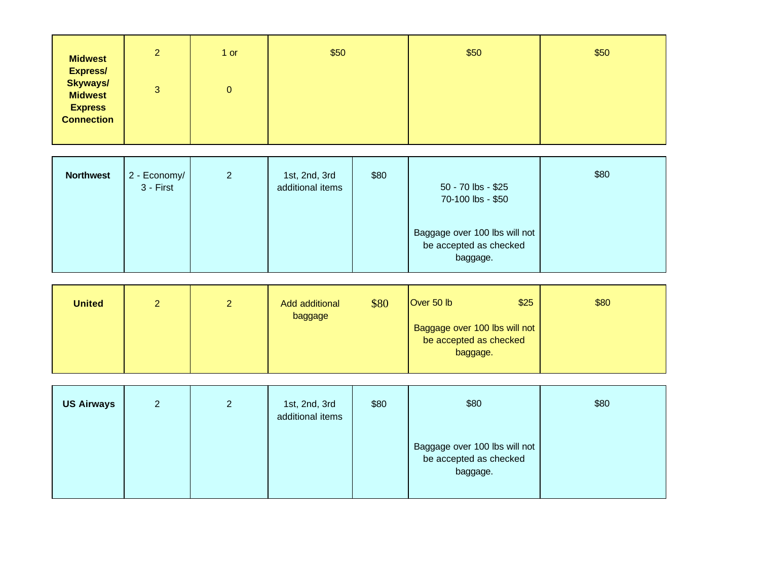| <b>Midwest</b><br><b>Express/</b>                   | $\overline{2}$ | 1 or | \$50 | \$50 | \$50 |
|-----------------------------------------------------|----------------|------|------|------|------|
| <b>Skyways/</b><br><b>Midwest</b><br><b>Express</b> | 3              | 0    |      |      |      |
| <b>Connection</b>                                   |                |      |      |      |      |

| <b>Northwest</b> | 2 - Economy/<br>3 - First | $\overline{2}$ | 1st, 2nd, 3rd<br>additional items | \$80 | 50 - 70 lbs - \$25<br>70-100 lbs - \$50                             | \$80 |
|------------------|---------------------------|----------------|-----------------------------------|------|---------------------------------------------------------------------|------|
|                  |                           |                |                                   |      | Baggage over 100 lbs will not<br>be accepted as checked<br>baggage. |      |

| <b>United</b> | ◠ | ∼ | Add additional<br>baggage | \$80 | Over 50 $lb$                                                        | \$25 | \$80 |
|---------------|---|---|---------------------------|------|---------------------------------------------------------------------|------|------|
|               |   |   |                           |      | Baggage over 100 lbs will not<br>be accepted as checked<br>baggage. |      |      |

| <b>US Airways</b> | $\overline{2}$ | $\overline{2}$ | 1st, 2nd, 3rd<br>additional items | \$80 | \$80                                                                | \$80 |
|-------------------|----------------|----------------|-----------------------------------|------|---------------------------------------------------------------------|------|
|                   |                |                |                                   |      | Baggage over 100 lbs will not<br>be accepted as checked<br>baggage. |      |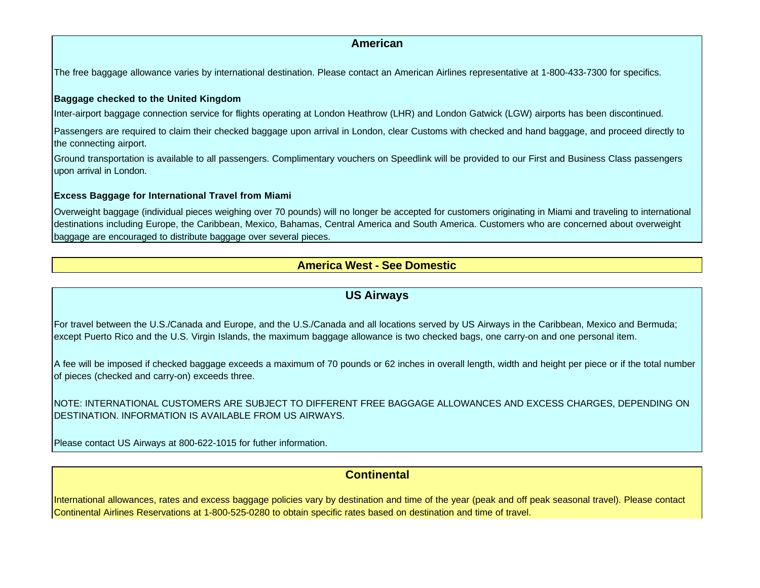## **American**

The free baggage allowance varies by international destination. Please contact an American Airlines representative at 1-800-433-7300 for specifics.

### **Baggage checked to the United Kingdom**

Inter-airport baggage connection service for flights operating at London Heathrow (LHR) and London Gatwick (LGW) airports has been discontinued.

Passengers are required to claim their checked baggage upon arrival in London, clear Customs with checked and hand baggage, and proceed directly to the connecting airport.

Ground transportation is available to all passengers. Complimentary vouchers on Speedlink will be provided to our First and Business Class passengers upon arrival in London.

### **Excess Baggage for International Travel from Miami**

Overweight baggage (individual pieces weighing over 70 pounds) will no longer be accepted for customers originating in Miami and traveling to international destinations including Europe, the Caribbean, Mexico, Bahamas, Central America and South America. Customers who are concerned about overweight baggage are encouraged to distribute baggage over several pieces.

## **America West - See Domestic**

## **US Airways**

For travel between the U.S./Canada and Europe, and the U.S./Canada and all locations served by US Airways in the Caribbean, Mexico and Bermuda; except Puerto Rico and the U.S. Virgin Islands, the maximum baggage allowance is two checked bags, one carry-on and one personal item.

A fee will be imposed if checked baggage exceeds a maximum of 70 pounds or 62 inches in overall length, width and height per piece or if the total number of pieces (checked and carry-on) exceeds three.

NOTE: INTERNATIONAL CUSTOMERS ARE SUBJECT TO DIFFERENT FREE BAGGAGE ALLOWANCES AND EXCESS CHARGES, DEPENDING ON DESTINATION. INFORMATION IS AVAILABLE FROM US AIRWAYS.

Please contact US Airways at 800-622-1015 for futher information.

## **Continental**

International allowances, rates and excess baggage policies vary by destination and time of the year (peak and off peak seasonal travel). Please contact Continental Airlines Reservations at 1-800-525-0280 to obtain specific rates based on destination and time of travel.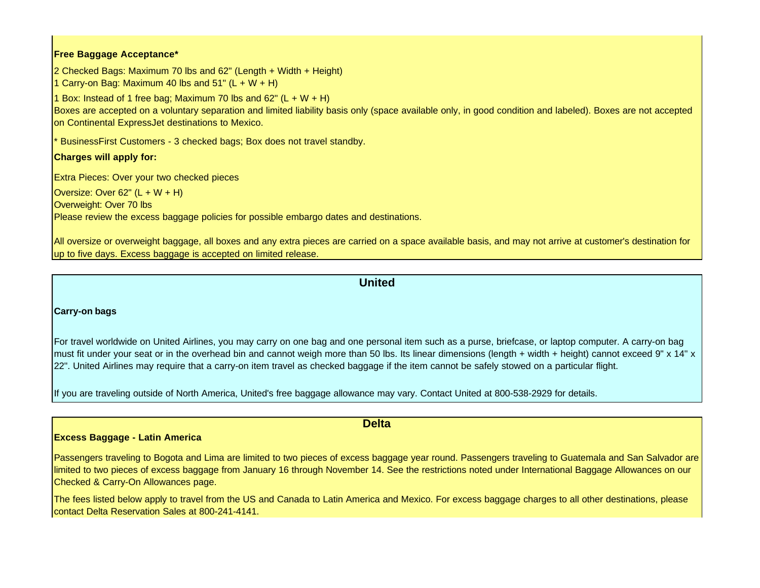### **Free Baggage Acceptance\***

2 Checked Bags: Maximum 70 lbs and 62" (Length + Width + Height)

1 Carry-on Bag: Maximum 40 lbs and 51"  $(L + W + H)$ 

1 Box: Instead of 1 free bag; Maximum 70 lbs and  $62^{\circ}$  (L + W + H)

Boxes are accepted on a voluntary separation and limited liability basis only (space available only, in good condition and labeled). Boxes are not accepted on Continental ExpressJet destinations to Mexico.

BusinessFirst Customers - 3 checked bags; Box does not travel standby.

## **Charges will apply for:**

Extra Pieces: Over your two checked pieces

Oversize: Over 62"  $(L + W + H)$ Overweight: Over 70 lbs Please review the excess baggage policies for possible embargo dates and destinations.

All oversize or overweight baggage, all boxes and any extra pieces are carried on a space available basis, and may not arrive at customer's destination for up to five days. Excess baggage is accepted on limited release.

## **United**

### **Carry-on bags**

For travel worldwide on United Airlines, you may carry on one bag and one personal item such as a purse, briefcase, or laptop computer. A carry-on bag must fit under your seat or in the overhead bin and cannot weigh more than 50 lbs. Its linear dimensions (length + width + height) cannot exceed 9" x 14" x 22". United Airlines may require that a carry-on item travel as checked baggage if the item cannot be safely stowed on a particular flight.

If you are traveling outside of North America, United's free baggage allowance may vary. Contact United at 800-538-2929 for details.

## **Excess Baggage - Latin America**

Passengers traveling to Bogota and Lima are limited to two pieces of excess baggage year round. Passengers traveling to Guatemala and San Salvador are limited to two pieces of excess baggage from January 16 through November 14. See the restrictions noted under International Baggage Allowances on our Checked & Carry-On Allowances page.

The fees listed below apply to travel from the US and Canada to Latin America and Mexico. For excess baggage charges to all other destinations, please contact Delta Reservation Sales at 800-241-4141.

### **Delta**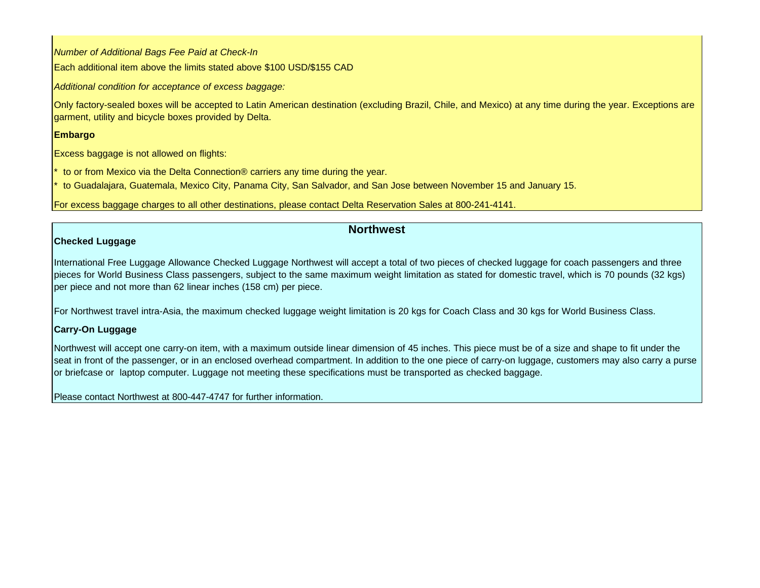*Number of Additional Bags Fee Paid at Check-In*  Each additional item above the limits stated above \$100 USD/\$155 CAD

*Additional condition for acceptance of excess baggage:* 

Only factory-sealed boxes will be accepted to Latin American destination (excluding Brazil, Chile, and Mexico) at any time during the year. Exceptions are garment, utility and bicycle boxes provided by Delta.

## **Embargo**

Excess baggage is not allowed on flights:

to or from Mexico via the Delta Connection® carriers any time during the year.

to Guadalajara, Guatemala, Mexico City, Panama City, San Salvador, and San Jose between November 15 and January 15.

For excess baggage charges to all other destinations, please contact Delta Reservation Sales at 800-241-4141.

## **Northwest**

## **Checked Luggage**

International Free Luggage Allowance Checked Luggage Northwest will accept a total of two pieces of checked luggage for coach passengers and three pieces for World Business Class passengers, subject to the same maximum weight limitation as stated for domestic travel, which is 70 pounds (32 kgs) per piece and not more than 62 linear inches (158 cm) per piece.

For Northwest travel intra-Asia, the maximum checked luggage weight limitation is 20 kgs for Coach Class and 30 kgs for World Business Class.

## **Carry-On Luggage**

Northwest will accept one carry-on item, with a maximum outside linear dimension of 45 inches. This piece must be of a size and shape to fit under the seat in front of the passenger, or in an enclosed overhead compartment. In addition to the one piece of carry-on luggage, customers may also carry a purse or briefcase or laptop computer. Luggage not meeting these specifications must be transported as checked baggage.

Please contact Northwest at 800-447-4747 for further information.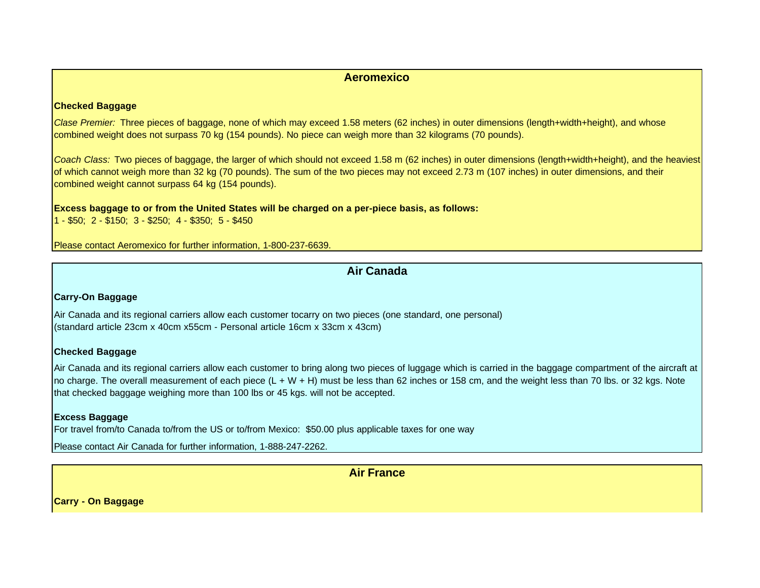## **Aeromexico**

#### **Checked Baggage**

*Clase Premier:* Three pieces of baggage, none of which may exceed 1.58 meters (62 inches) in outer dimensions (length+width+height), and whose combined weight does not surpass 70 kg (154 pounds). No piece can weigh more than 32 kilograms (70 pounds).

*Coach Class:* Two pieces of baggage, the larger of which should not exceed 1.58 m (62 inches) in outer dimensions (length+width+height), and the heaviest of which cannot weigh more than 32 kg (70 pounds). The sum of the two pieces may not exceed 2.73 m (107 inches) in outer dimensions, and their combined weight cannot surpass 64 kg (154 pounds).

#### **Excess baggage to or from the United States will be charged on a per-piece basis, as follows:**

1 - \$50; 2 - \$150; 3 - \$250; 4 - \$350; 5 - \$450

Please contact Aeromexico for further information, 1-800-237-6639.

## **Air Canada**

### **Carry-On Baggage**

Air Canada and its regional carriers allow each customer tocarry on two pieces (one standard, one personal) (standard article 23cm x 40cm x55cm - Personal article 16cm x 33cm x 43cm)

### **Checked Baggage**

Air Canada and its regional carriers allow each customer to bring along two pieces of luggage which is carried in the baggage compartment of the aircraft at no charge. The overall measurement of each piece (L + W + H) must be less than 62 inches or 158 cm, and the weight less than 70 lbs. or 32 kgs. Note that checked baggage weighing more than 100 lbs or 45 kgs. will not be accepted.

### **Excess Baggage**

For travel from/to Canada to/from the US or to/from Mexico: \$50.00 plus applicable taxes for one way

Please contact Air Canada for further information, 1-888-247-2262.

**Air France**

**Carry - On Baggage**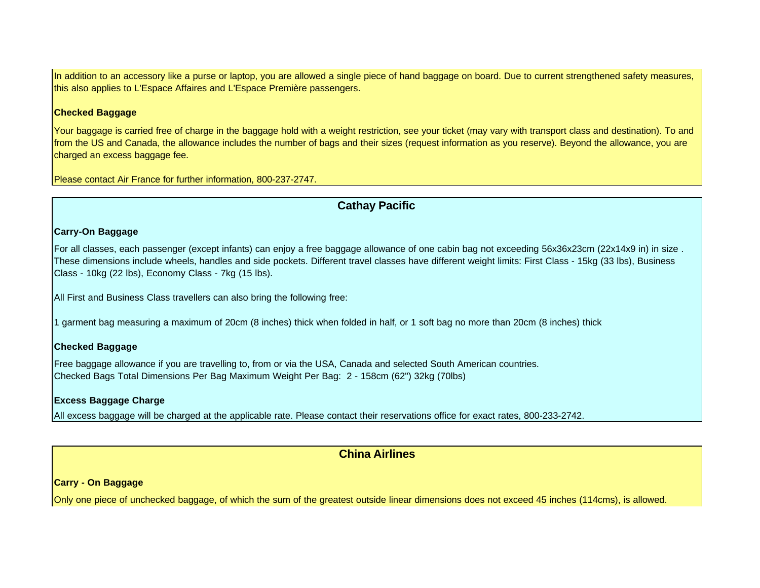In addition to an accessory like a purse or laptop, you are allowed a single piece of hand baggage on board. Due to current strengthened safety measures, this also applies to L'Espace Affaires and L'Espace Première passengers.

#### **Checked Baggage**

Your baggage is carried free of charge in the baggage hold with a weight restriction, see your ticket (may vary with transport class and destination). To and from the US and Canada, the allowance includes the number of bags and their sizes (request information as you reserve). Beyond the allowance, you are charged an excess baggage fee.

Please contact Air France for further information, 800-237-2747.

## **Cathay Pacific**

## **Carry-On Baggage**

For all classes, each passenger (except infants) can enjoy a free baggage allowance of one cabin bag not exceeding 56x36x23cm (22x14x9 in) in size . These dimensions include wheels, handles and side pockets. Different travel classes have different weight limits: First Class - 15kg (33 lbs), Business Class - 10kg (22 lbs), Economy Class - 7kg (15 lbs).

All First and Business Class travellers can also bring the following free:

1 garment bag measuring a maximum of 20cm (8 inches) thick when folded in half, or 1 soft bag no more than 20cm (8 inches) thick

### **Checked Baggage**

Free baggage allowance if you are travelling to, from or via the USA, Canada and selected South American countries. Checked Bags Total Dimensions Per Bag Maximum Weight Per Bag: 2 - 158cm (62") 32kg (70lbs)

### **Excess Baggage Charge**

All excess baggage will be charged at the applicable rate. Please contact their reservations office for exact rates, 800-233-2742.

## **China Airlines**

**Carry - On Baggage**

Only one piece of unchecked baggage, of which the sum of the greatest outside linear dimensions does not exceed 45 inches (114cms), is allowed.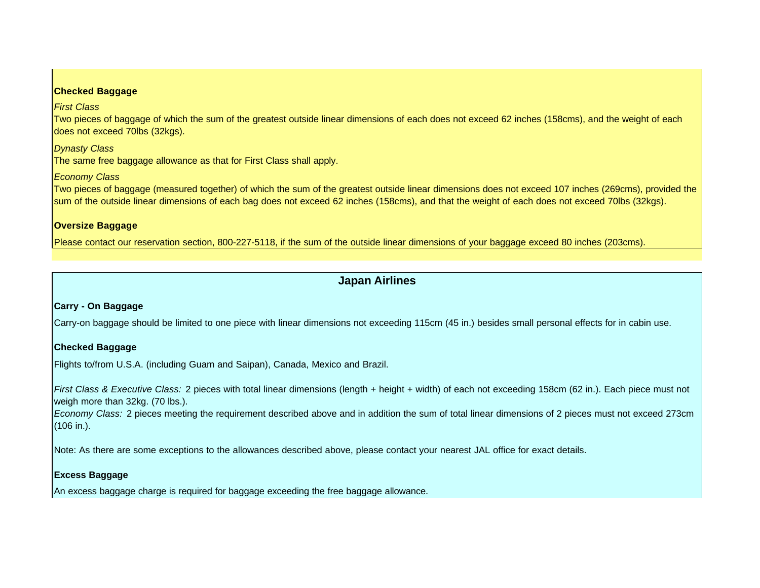#### **Checked Baggage**

*First Class* 

Two pieces of baggage of which the sum of the greatest outside linear dimensions of each does not exceed 62 inches (158cms), and the weight of each does not exceed 70lbs (32kgs).

*Dynasty Class* 

The same free baggage allowance as that for First Class shall apply.

## *Economy Class*

Two pieces of baggage (measured together) of which the sum of the greatest outside linear dimensions does not exceed 107 inches (269cms), provided the sum of the outside linear dimensions of each bag does not exceed 62 inches (158cms), and that the weight of each does not exceed 70lbs (32kgs).

## **Oversize Baggage**

Please contact our reservation section, 800-227-5118, if the sum of the outside linear dimensions of your baggage exceed 80 inches (203cms).

## **Japan Airlines**

## **Carry - On Baggage**

Carry-on baggage should be limited to one piece with linear dimensions not exceeding 115cm (45 in.) besides small personal effects for in cabin use.

## **Checked Baggage**

Flights to/from U.S.A. (including Guam and Saipan), Canada, Mexico and Brazil.

*First Class & Executive Class:* 2 pieces with total linear dimensions (length + height + width) of each not exceeding 158cm (62 in.). Each piece must not weigh more than 32kg. (70 lbs.).

*Economy Class:* 2 pieces meeting the requirement described above and in addition the sum of total linear dimensions of 2 pieces must not exceed 273cm (106 in.).

Note: As there are some exceptions to the allowances described above, please contact your nearest JAL office for exact details.

## **Excess Baggage**

An excess baggage charge is required for baggage exceeding the free baggage allowance.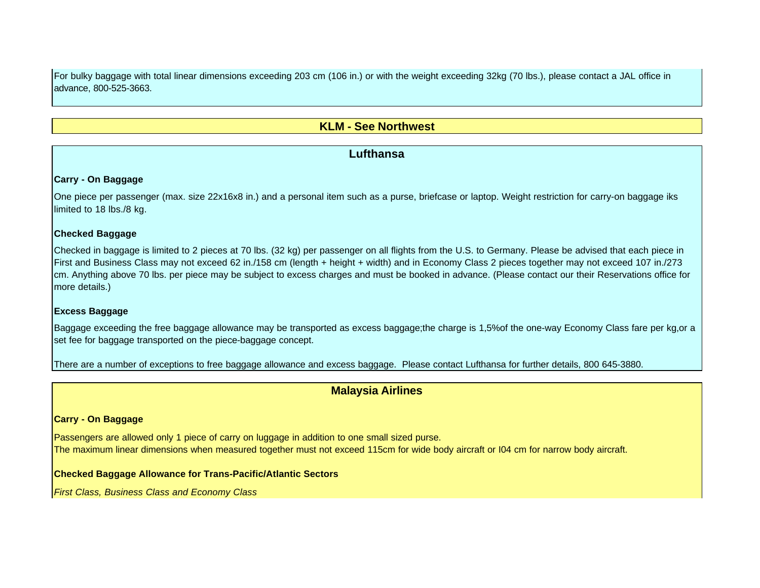For bulky baggage with total linear dimensions exceeding 203 cm (106 in.) or with the weight exceeding 32kg (70 lbs.), please contact a JAL office in advance, 800-525-3663.

## **KLM - See Northwest**

## **Lufthansa**

### **Carry - On Baggage**

One piece per passenger (max. size 22x16x8 in.) and a personal item such as a purse, briefcase or laptop. Weight restriction for carry-on baggage iks limited to 18 lbs./8 kg.

#### **Checked Baggage**

Checked in baggage is limited to 2 pieces at 70 lbs. (32 kg) per passenger on all flights from the U.S. to Germany. Please be advised that each piece in First and Business Class may not exceed 62 in./158 cm (length + height + width) and in Economy Class 2 pieces together may not exceed 107 in./273 cm. Anything above 70 lbs. per piece may be subject to excess charges and must be booked in advance. (Please contact our their Reservations office for more details.)

### **Excess Baggage**

Baggage exceeding the free baggage allowance may be transported as excess baggage;the charge is 1,5%of the one-way Economy Class fare per kg,or a set fee for baggage transported on the piece-baggage concept.

There are a number of exceptions to free baggage allowance and excess baggage. Please contact Lufthansa for further details, 800 645-3880.

## **Malaysia Airlines**

## **Carry - On Baggage**

Passengers are allowed only 1 piece of carry on luggage in addition to one small sized purse. The maximum linear dimensions when measured together must not exceed 115cm for wide body aircraft or I04 cm for narrow body aircraft.

### **Checked Baggage Allowance for Trans-Pacific/Atlantic Sectors**

*First Class, Business Class and Economy Class*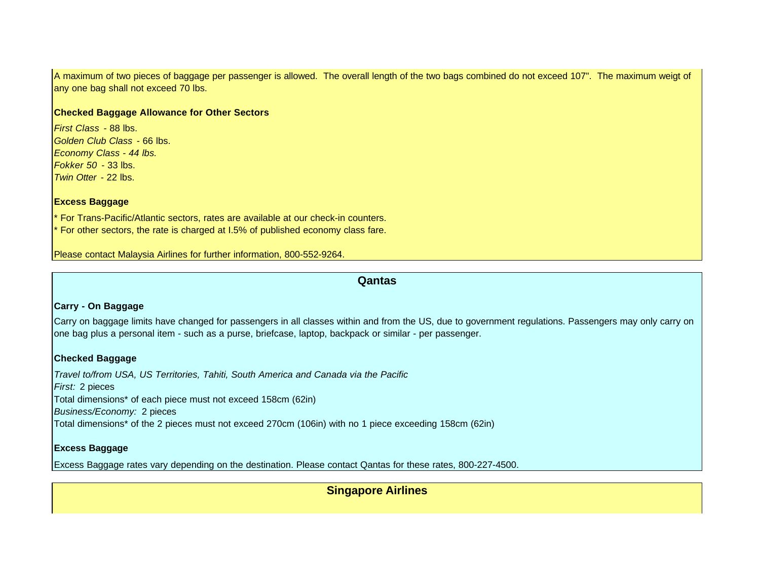A maximum of two pieces of baggage per passenger is allowed. The overall length of the two bags combined do not exceed 107". The maximum weigt of any one bag shall not exceed 70 lbs.

#### **Checked Baggage Allowance for Other Sectors**

*First Class* - 88 lbs. *Golden Club Class* - 66 lbs. *Economy Class - 44 lbs. Fokker 50* - 33 lbs. *Twin Otter* - 22 lbs.

#### **Excess Baggage**

For Trans-Pacific/Atlantic sectors, rates are available at our check-in counters. For other sectors, the rate is charged at I.5% of published economy class fare.

Please contact Malaysia Airlines for further information, 800-552-9264.

### **Qantas**

### **Carry - On Baggage**

Carry on baggage limits have changed for passengers in all classes within and from the US, due to government regulations. Passengers may only carry on one bag plus a personal item - such as a purse, briefcase, laptop, backpack or similar - per passenger.

## **Checked Baggage**

*Travel to/from USA, US Territories, Tahiti, South America and Canada via the Pacific First:* 2 pieces Total dimensions\* of each piece must not exceed 158cm (62in) *Business/Economy:* 2 pieces Total dimensions\* of the 2 pieces must not exceed 270cm (106in) with no 1 piece exceeding 158cm (62in)

#### **Excess Baggage**

Excess Baggage rates vary depending on the destination. Please contact Qantas for these rates, 800-227-4500.

**Singapore Airlines**